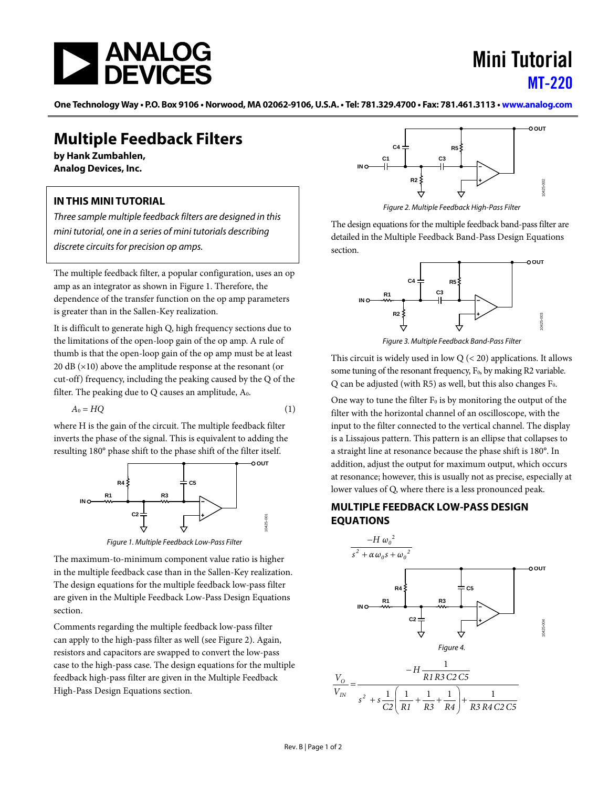

# Mini Tutorial [MT-220](https://www.analog.com/MT-220)

One Technology Way • P.O. Box 9106 • Norwood, MA 02062-9106, U.S.A. • Tel: 781.329.4700 • Fax: 781.461.3113 • [www.analog.com](https://www.analog.com)

## **Multiple Feedback Filters**

**by Hank Zumbahlen, Analog Devices, Inc.**

### **IN THIS MINI TUTORIAL**

*Three sample multiple feedback filters are designed in this mini tutorial, one in a series of mini tutorials describing discrete circuits for precision op amps.*

The multiple feedback filter, a popular configuration, uses an op amp as an integrator as shown i[n Figure 1.](#page-0-0) Therefore, the dependence of the transfer function on the op amp parameters is greater than in the Sallen-Key realization.

It is difficult to generate high Q, high frequency sections due to the limitations of the open-loop gain of the op amp. A rule of thumb is that the open-loop gain of the op amp must be at least 20 dB (×10) above the amplitude response at the resonant (or cut-off) frequency, including the peaking caused by the Q of the filter. The peaking due to  $Q$  causes an amplitude,  $A_0$ .

$$
A_0 = HQ \tag{1}
$$

where H is the gain of the circuit. The multiple feedback filter inverts the phase of the signal. This is equivalent to adding the resulting 180° phase shift to the phase shift of the filter itself.



*Figure 1. Multiple Feedback Low-Pass Filter*

<span id="page-0-0"></span>The maximum-to-minimum component value ratio is higher in the multiple feedback case than in the Sallen-Key realization. The design equations for the multiple feedback low-pass filter are given in th[e Multiple Feedback Low-Pass Design Equations](#page-0-1) section.

Comments regarding the multiple feedback low-pass filter can apply to the high-pass filter as well (se[e Figure 2\)](#page-0-2). Again, resistors and capacitors are swapped to convert the low-pass case to the high-pass case. The design equations for the multiple feedback high-pass filter are given in th[e Multiple Feedback](#page-1-0)  [High-Pass Design Equations](#page-1-0) section.



*Figure 2. Multiple Feedback High-Pass Filter*

<span id="page-0-2"></span>The design equations for the multiple feedback band-pass filter are detailed in th[e Multiple Feedback Band-Pass Design Equations](#page-1-1) section.



*Figure 3. Multiple Feedback Band-Pass Filter*

This circuit is widely used in low  $Q$  ( $<$  20) applications. It allows some tuning of the resonant frequency, F<sub>0</sub>, by making R2 variable. Q can be adjusted (with R5) as well, but this also changes  $F_0$ .

One way to tune the filter  $F_0$  is by monitoring the output of the filter with the horizontal channel of an oscilloscope, with the input to the filter connected to the vertical channel. The display is a Lissajous pattern. This pattern is an ellipse that collapses to a straight line at resonance because the phase shift is 180°. In addition, adjust the output for maximum output, which occurs at resonance; however, this is usually not as precise, especially at lower values of Q, where there is a less pronounced peak.

#### <span id="page-0-1"></span>**MULTIPLE FEEDBACK LOW-PASS DESIGN EQUATIONS**